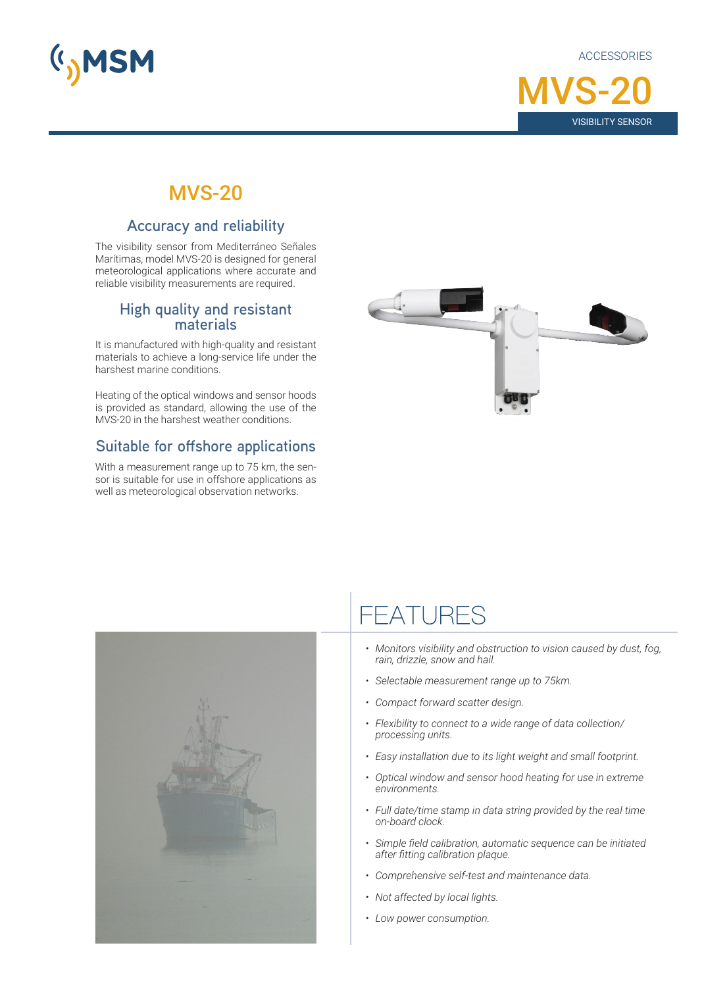

**ACCESSORIES** 



### MVS-20

#### **Accuracy and reliability**

The visibility sensor from Mediterráneo Señales Marítimas, model MVS-20 is designed for general meteorological applications where accurate and reliable visibility measurements are required.

# **High quality and resistant materials**

It is manufactured with high-quality and resistant materials to achieve a long-service life under the harshest marine conditions.

Heating of the optical windows and sensor hoods is provided as standard, allowing the use of the MVS-20 in the harshest weather conditions.

### **Suitable for offshore applications**

With a measurement range up to 75 km, the sensor is suitable for use in offshore applications as well as meteorological observation networks.





## **FEATURES**

- *• Monitors visibility and obstruction to vision caused by dust, fog, rain, drizzle, snow and hail.*
- *• Selectable measurement range up to 75km.*
- *• Compact forward scatter design.*
- *• Flexibility to connect to a wide range of data collection/ processing units.*
- *• Easy installation due to its light weight and small footprint.*
- *• Optical window and sensor hood heating for use in extreme environments.*
- *• Full date/time stamp in data string provided by the real time on-board clock.*
- *• Simple field calibration, automatic sequence can be initiated after fitting calibration plaque.*
- *• Comprehensive self-test and maintenance data.*
- *• Not affected by local lights.*
- *• Low power consumption.*